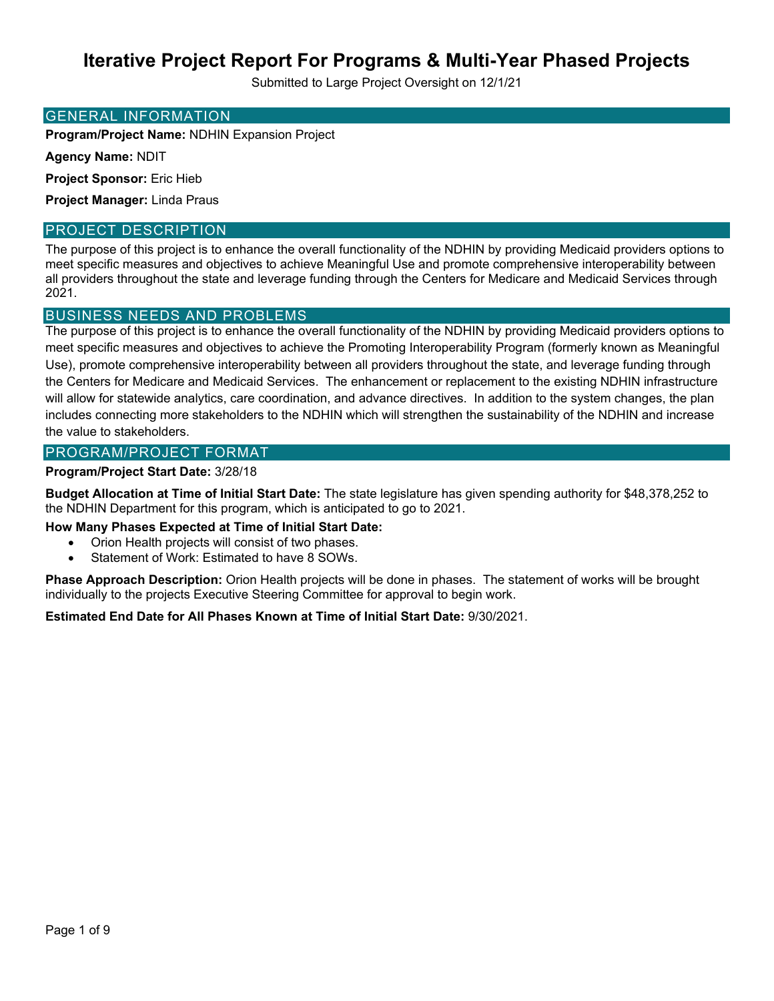Submitted to Large Project Oversight on 12/1/21

### GENERAL INFORMATION

**Program/Project Name:** NDHIN Expansion Project

**Agency Name:** NDIT

**Project Sponsor:** Eric Hieb

**Project Manager:** Linda Praus

### PROJECT DESCRIPTION

The purpose of this project is to enhance the overall functionality of the NDHIN by providing Medicaid providers options to meet specific measures and objectives to achieve Meaningful Use and promote comprehensive interoperability between all providers throughout the state and leverage funding through the Centers for Medicare and Medicaid Services through 2021.

### BUSINESS NEEDS AND PROBLEMS

The purpose of this project is to enhance the overall functionality of the NDHIN by providing Medicaid providers options to meet specific measures and objectives to achieve the Promoting Interoperability Program (formerly known as Meaningful Use), promote comprehensive interoperability between all providers throughout the state, and leverage funding through the Centers for Medicare and Medicaid Services. The enhancement or replacement to the existing NDHIN infrastructure will allow for statewide analytics, care coordination, and advance directives. In addition to the system changes, the plan includes connecting more stakeholders to the NDHIN which will strengthen the sustainability of the NDHIN and increase the value to stakeholders.

### PROGRAM/PROJECT FORMAT

### **Program/Project Start Date:** 3/28/18

**Budget Allocation at Time of Initial Start Date:** The state legislature has given spending authority for \$48,378,252 to the NDHIN Department for this program, which is anticipated to go to 2021.

**How Many Phases Expected at Time of Initial Start Date:**

- Orion Health projects will consist of two phases.
- Statement of Work: Estimated to have 8 SOWs.

**Phase Approach Description:** Orion Health projects will be done in phases. The statement of works will be brought individually to the projects Executive Steering Committee for approval to begin work.

### **Estimated End Date for All Phases Known at Time of Initial Start Date:** 9/30/2021.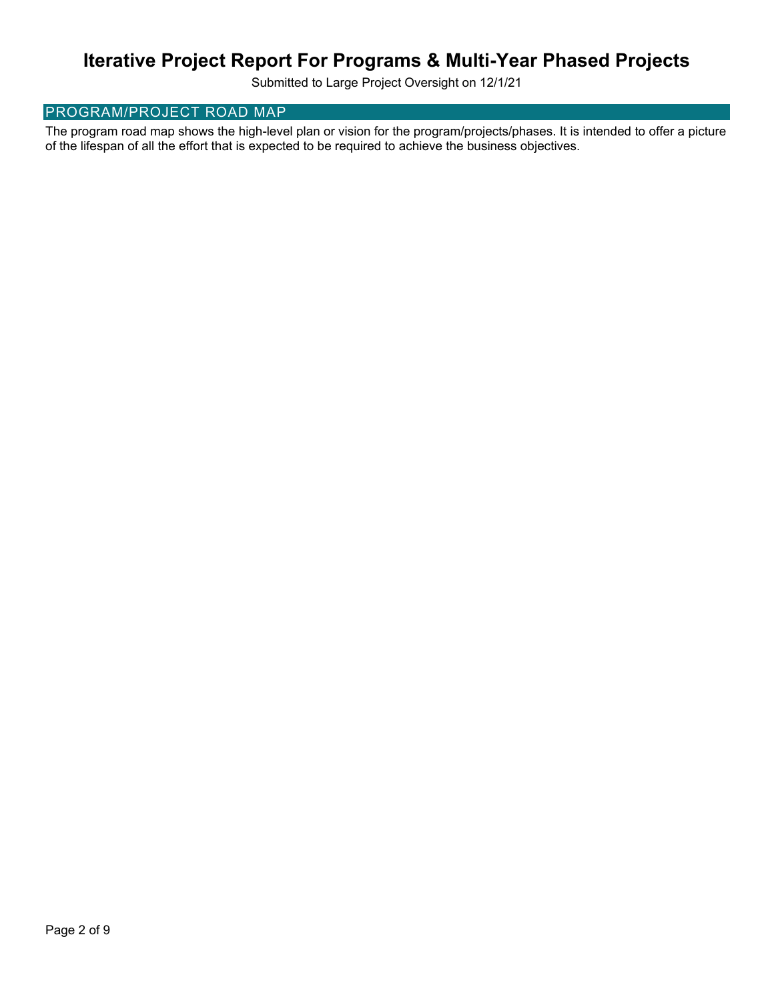Submitted to Large Project Oversight on 12/1/21

# PROGRAM/PROJECT ROAD MAP

The program road map shows the high-level plan or vision for the program/projects/phases. It is intended to offer a picture of the lifespan of all the effort that is expected to be required to achieve the business objectives.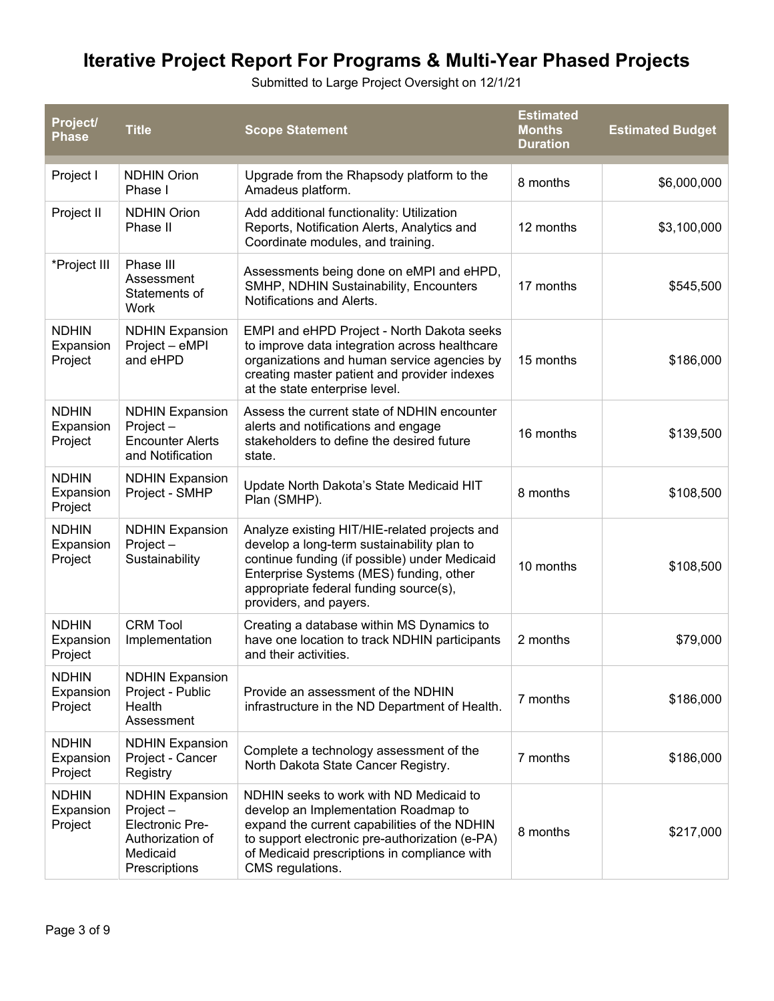Submitted to Large Project Oversight on 12/1/21

| Project/<br><b>Phase</b>             | <b>Title</b>                                                                                                  | <b>Scope Statement</b>                                                                                                                                                                                                                                      | <b>Estimated</b><br><b>Months</b><br><b>Duration</b> | <b>Estimated Budget</b> |
|--------------------------------------|---------------------------------------------------------------------------------------------------------------|-------------------------------------------------------------------------------------------------------------------------------------------------------------------------------------------------------------------------------------------------------------|------------------------------------------------------|-------------------------|
| Project I                            | <b>NDHIN Orion</b><br>Phase I                                                                                 | Upgrade from the Rhapsody platform to the<br>Amadeus platform.                                                                                                                                                                                              | 8 months                                             | \$6,000,000             |
| Project II                           | <b>NDHIN Orion</b><br>Phase II                                                                                | Add additional functionality: Utilization<br>Reports, Notification Alerts, Analytics and<br>Coordinate modules, and training.                                                                                                                               | 12 months                                            | \$3,100,000             |
| *Project III                         | Phase III<br>Assessment<br>Statements of<br>Work                                                              | Assessments being done on eMPI and eHPD,<br>SMHP, NDHIN Sustainability, Encounters<br>Notifications and Alerts.                                                                                                                                             | 17 months                                            | \$545,500               |
| <b>NDHIN</b><br>Expansion<br>Project | <b>NDHIN Expansion</b><br>Project - eMPI<br>and eHPD                                                          | EMPI and eHPD Project - North Dakota seeks<br>to improve data integration across healthcare<br>organizations and human service agencies by<br>creating master patient and provider indexes<br>at the state enterprise level.                                | 15 months                                            | \$186,000               |
| <b>NDHIN</b><br>Expansion<br>Project | <b>NDHIN Expansion</b><br>Project-<br><b>Encounter Alerts</b><br>and Notification                             | Assess the current state of NDHIN encounter<br>alerts and notifications and engage<br>stakeholders to define the desired future<br>state.                                                                                                                   | 16 months                                            | \$139,500               |
| <b>NDHIN</b><br>Expansion<br>Project | <b>NDHIN Expansion</b><br>Project - SMHP                                                                      | Update North Dakota's State Medicaid HIT<br>Plan (SMHP).                                                                                                                                                                                                    | 8 months                                             | \$108,500               |
| <b>NDHIN</b><br>Expansion<br>Project | <b>NDHIN Expansion</b><br>Project-<br>Sustainability                                                          | Analyze existing HIT/HIE-related projects and<br>develop a long-term sustainability plan to<br>continue funding (if possible) under Medicaid<br>Enterprise Systems (MES) funding, other<br>appropriate federal funding source(s),<br>providers, and payers. | 10 months                                            | \$108,500               |
| <b>NDHIN</b><br>Expansion<br>Project | <b>CRM Tool</b><br>Implementation                                                                             | Creating a database within MS Dynamics to<br>have one location to track NDHIN participants<br>and their activities.                                                                                                                                         | 2 months                                             | \$79,000                |
| <b>NDHIN</b><br>Expansion<br>Project | <b>NDHIN Expansion</b><br>Project - Public<br>Health<br>Assessment                                            | Provide an assessment of the NDHIN<br>infrastructure in the ND Department of Health.                                                                                                                                                                        | 7 months                                             | \$186,000               |
| <b>NDHIN</b><br>Expansion<br>Project | <b>NDHIN Expansion</b><br>Project - Cancer<br>Registry                                                        | Complete a technology assessment of the<br>North Dakota State Cancer Registry.                                                                                                                                                                              | 7 months                                             | \$186,000               |
| <b>NDHIN</b><br>Expansion<br>Project | <b>NDHIN Expansion</b><br>Project-<br><b>Electronic Pre-</b><br>Authorization of<br>Medicaid<br>Prescriptions | NDHIN seeks to work with ND Medicaid to<br>develop an Implementation Roadmap to<br>expand the current capabilities of the NDHIN<br>to support electronic pre-authorization (e-PA)<br>of Medicaid prescriptions in compliance with<br>CMS regulations.       | 8 months                                             | \$217,000               |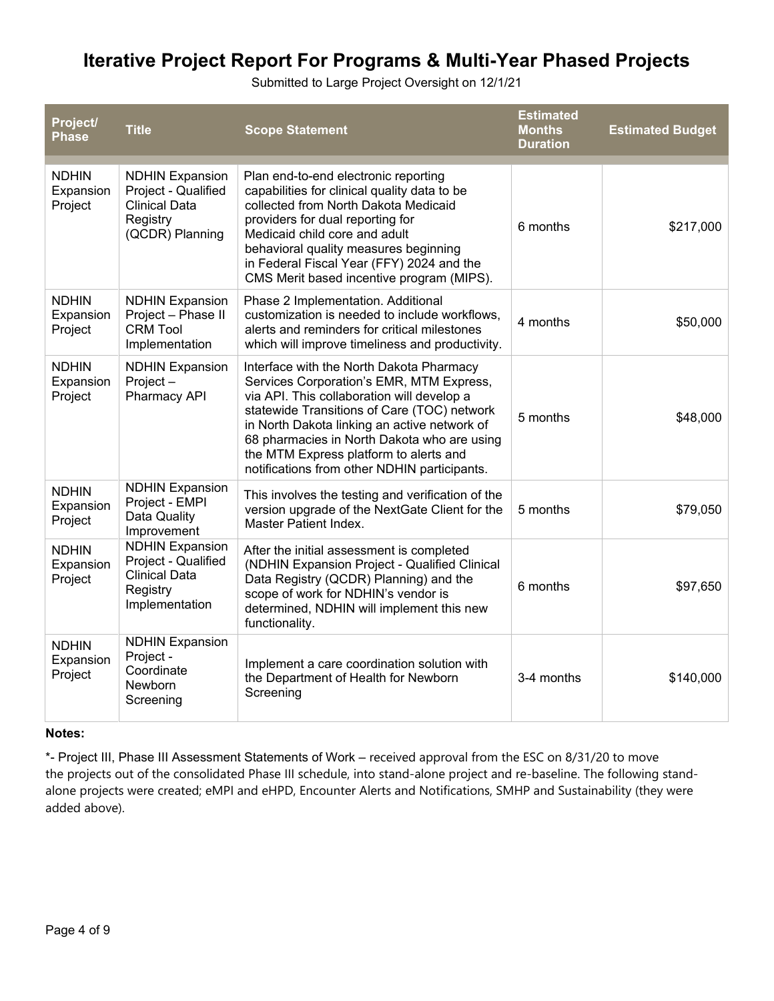Submitted to Large Project Oversight on 12/1/21

| Project/<br><b>Phase</b>             | <b>Title</b>                                                                                         | <b>Scope Statement</b>                                                                                                                                                                                                                                                                                                                                                     | <b>Estimated</b><br><b>Months</b><br><b>Duration</b> | <b>Estimated Budget</b> |
|--------------------------------------|------------------------------------------------------------------------------------------------------|----------------------------------------------------------------------------------------------------------------------------------------------------------------------------------------------------------------------------------------------------------------------------------------------------------------------------------------------------------------------------|------------------------------------------------------|-------------------------|
| <b>NDHIN</b><br>Expansion<br>Project | <b>NDHIN Expansion</b><br>Project - Qualified<br><b>Clinical Data</b><br>Registry<br>(QCDR) Planning | Plan end-to-end electronic reporting<br>capabilities for clinical quality data to be<br>collected from North Dakota Medicaid<br>providers for dual reporting for<br>Medicaid child core and adult<br>behavioral quality measures beginning<br>in Federal Fiscal Year (FFY) 2024 and the<br>CMS Merit based incentive program (MIPS).                                       | 6 months                                             | \$217,000               |
| <b>NDHIN</b><br>Expansion<br>Project | <b>NDHIN Expansion</b><br>Project - Phase II<br><b>CRM Tool</b><br>Implementation                    | Phase 2 Implementation. Additional<br>customization is needed to include workflows,<br>alerts and reminders for critical milestones<br>which will improve timeliness and productivity.                                                                                                                                                                                     | 4 months                                             | \$50,000                |
| <b>NDHIN</b><br>Expansion<br>Project | <b>NDHIN Expansion</b><br>Project-<br>Pharmacy API                                                   | Interface with the North Dakota Pharmacy<br>Services Corporation's EMR, MTM Express,<br>via API. This collaboration will develop a<br>statewide Transitions of Care (TOC) network<br>in North Dakota linking an active network of<br>68 pharmacies in North Dakota who are using<br>the MTM Express platform to alerts and<br>notifications from other NDHIN participants. | 5 months                                             | \$48,000                |
| <b>NDHIN</b><br>Expansion<br>Project | <b>NDHIN Expansion</b><br>Project - EMPI<br>Data Quality<br>Improvement                              | This involves the testing and verification of the<br>version upgrade of the NextGate Client for the<br>Master Patient Index.                                                                                                                                                                                                                                               | 5 months                                             | \$79,050                |
| <b>NDHIN</b><br>Expansion<br>Project | <b>NDHIN Expansion</b><br>Project - Qualified<br><b>Clinical Data</b><br>Registry<br>Implementation  | After the initial assessment is completed<br>(NDHIN Expansion Project - Qualified Clinical<br>Data Registry (QCDR) Planning) and the<br>scope of work for NDHIN's vendor is<br>determined, NDHIN will implement this new<br>functionality.                                                                                                                                 | 6 months                                             | \$97,650                |
| <b>NDHIN</b><br>Expansion<br>Project | <b>NDHIN Expansion</b><br>Project -<br>Coordinate<br>Newborn<br>Screening                            | Implement a care coordination solution with<br>the Department of Health for Newborn<br>Screening                                                                                                                                                                                                                                                                           | 3-4 months                                           | \$140,000               |

### **Notes:**

\*- Project III, Phase III Assessment Statements of Work – received approval from the ESC on 8/31/20 to move the projects out of the consolidated Phase III schedule, into stand-alone project and re-baseline. The following standalone projects were created; eMPI and eHPD, Encounter Alerts and Notifications, SMHP and Sustainability (they were added above).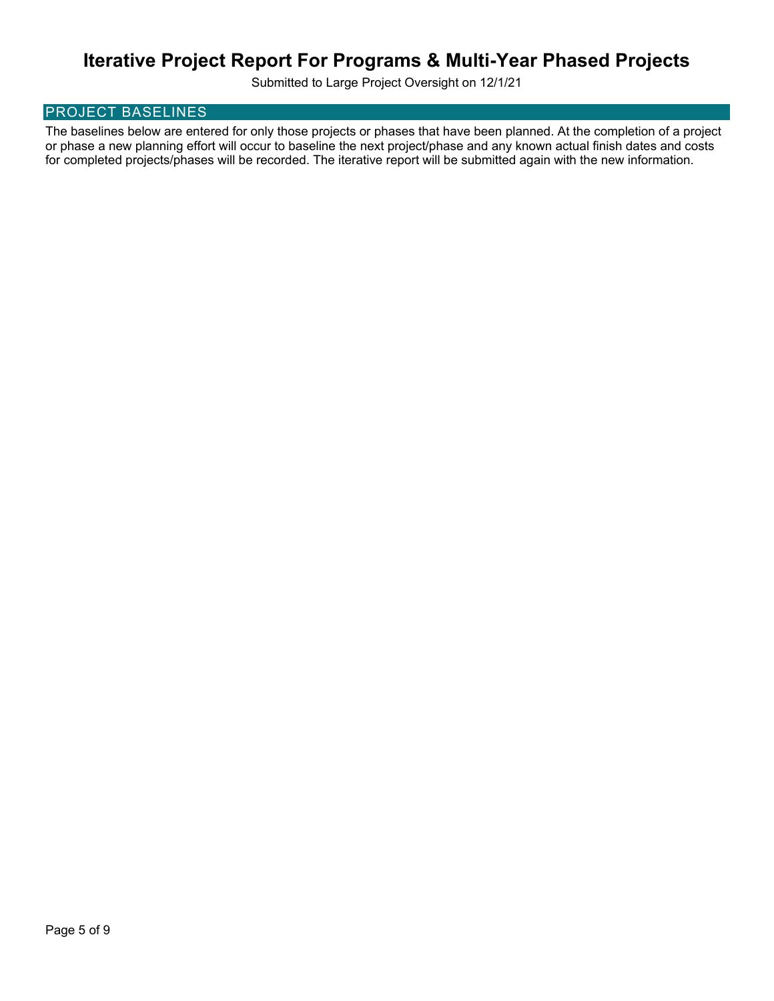Submitted to Large Project Oversight on 12/1/21

## PROJECT BASELINES

The baselines below are entered for only those projects or phases that have been planned. At the completion of a project or phase a new planning effort will occur to baseline the next project/phase and any known actual finish dates and costs for completed projects/phases will be recorded. The iterative report will be submitted again with the new information.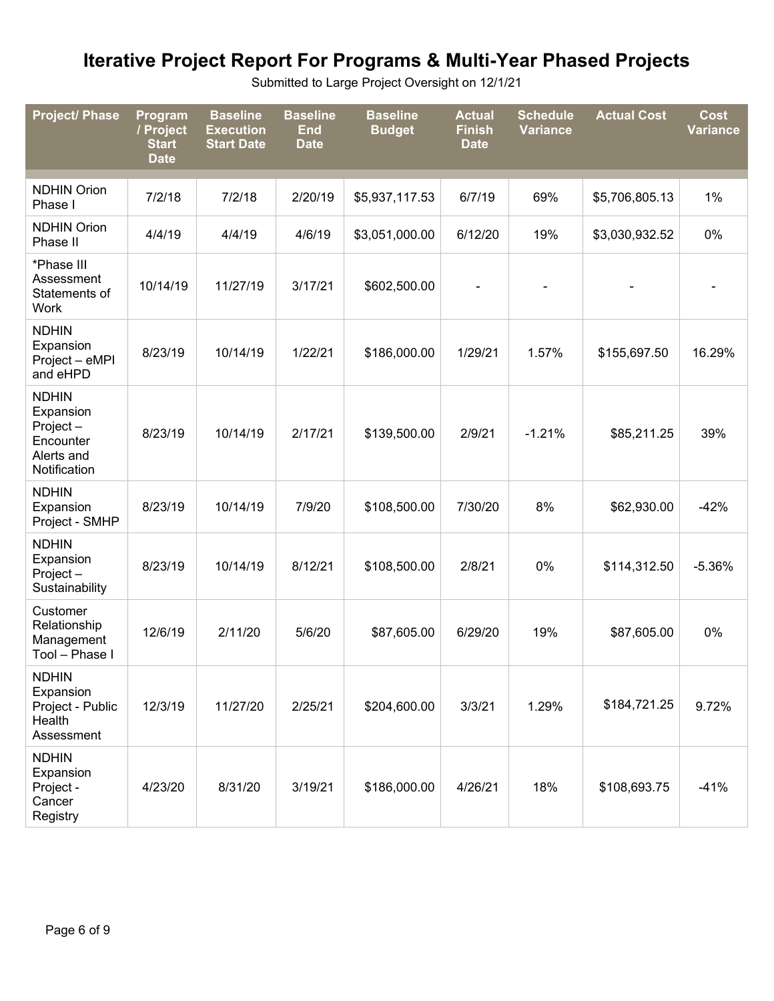Submitted to Large Project Oversight on 12/1/21

| <b>Project/ Phase</b>                                                            | Program<br>/ Project<br><b>Start</b><br><b>Date</b> | <b>Baseline</b><br><b>Execution</b><br><b>Start Date</b> | <b>Baseline</b><br><b>End</b><br><b>Date</b> | <b>Baseline</b><br><b>Budget</b> | <b>Actual</b><br><b>Finish</b><br><b>Date</b> | <b>Schedule</b><br><b>Variance</b> | <b>Actual Cost</b> | <b>Cost</b><br><b>Variance</b> |
|----------------------------------------------------------------------------------|-----------------------------------------------------|----------------------------------------------------------|----------------------------------------------|----------------------------------|-----------------------------------------------|------------------------------------|--------------------|--------------------------------|
| <b>NDHIN Orion</b><br>Phase I                                                    | 7/2/18                                              | 7/2/18                                                   | 2/20/19                                      | \$5,937,117.53                   | 6/7/19                                        | 69%                                | \$5,706,805.13     | 1%                             |
| <b>NDHIN Orion</b><br>Phase II                                                   | 4/4/19                                              | 4/4/19                                                   | 4/6/19                                       | \$3,051,000.00                   | 6/12/20                                       | 19%                                | \$3,030,932.52     | 0%                             |
| *Phase III<br>Assessment<br>Statements of<br>Work                                | 10/14/19                                            | 11/27/19                                                 | 3/17/21                                      | \$602,500.00                     |                                               |                                    |                    |                                |
| <b>NDHIN</b><br>Expansion<br>Project - eMPI<br>and eHPD                          | 8/23/19                                             | 10/14/19                                                 | 1/22/21                                      | \$186,000.00                     | 1/29/21                                       | 1.57%                              | \$155,697.50       | 16.29%                         |
| <b>NDHIN</b><br>Expansion<br>Project-<br>Encounter<br>Alerts and<br>Notification | 8/23/19                                             | 10/14/19                                                 | 2/17/21                                      | \$139,500.00                     | 2/9/21                                        | $-1.21%$                           | \$85,211.25        | 39%                            |
| <b>NDHIN</b><br>Expansion<br>Project - SMHP                                      | 8/23/19                                             | 10/14/19                                                 | 7/9/20                                       | \$108,500.00                     | 7/30/20                                       | 8%                                 | \$62,930.00        | $-42%$                         |
| <b>NDHIN</b><br>Expansion<br>Project-<br>Sustainability                          | 8/23/19                                             | 10/14/19                                                 | 8/12/21                                      | \$108,500.00                     | 2/8/21                                        | 0%                                 | \$114,312.50       | $-5.36%$                       |
| Customer<br>Relationship<br>Management<br>Tool - Phase I                         | 12/6/19                                             | 2/11/20                                                  | 5/6/20                                       | \$87,605.00                      | 6/29/20                                       | 19%                                | \$87,605.00        | 0%                             |
| <b>NDHIN</b><br>Expansion<br>Project - Public<br>Health<br>Assessment            | 12/3/19                                             | 11/27/20                                                 | 2/25/21                                      | \$204,600.00                     | 3/3/21                                        | 1.29%                              | \$184,721.25       | 9.72%                          |
| <b>NDHIN</b><br>Expansion<br>Project -<br>Cancer<br>Registry                     | 4/23/20                                             | 8/31/20                                                  | 3/19/21                                      | \$186,000.00                     | 4/26/21                                       | 18%                                | \$108,693.75       | $-41%$                         |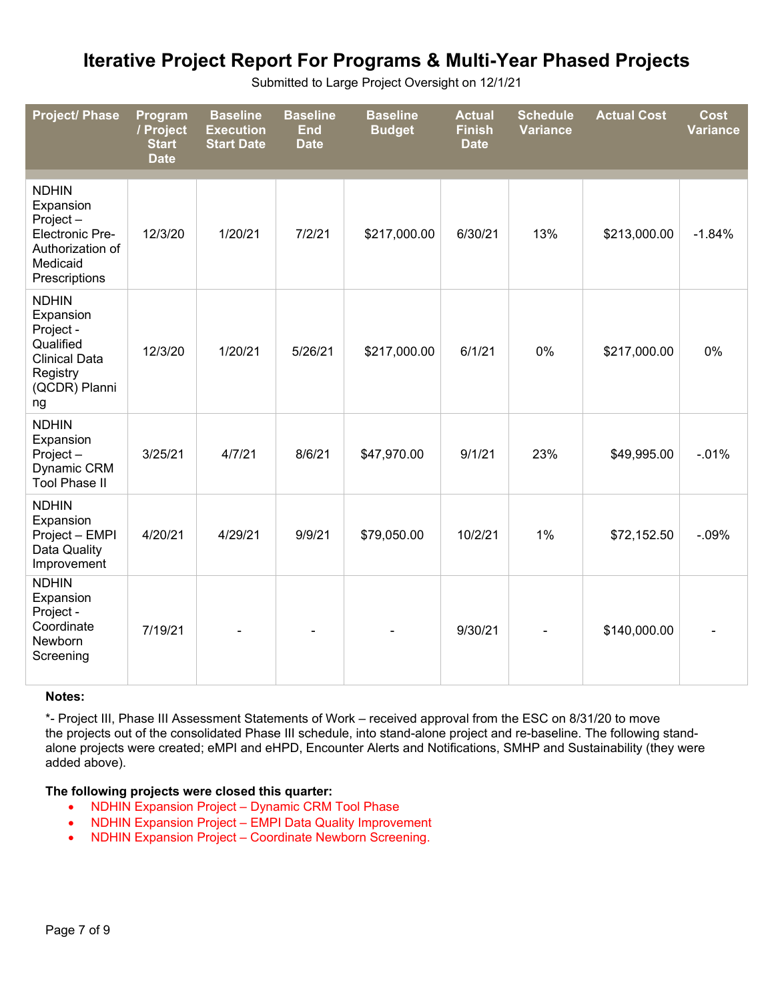| Submitted to Large Project Oversight on 12/1/21 |  |  |  |  |
|-------------------------------------------------|--|--|--|--|
|-------------------------------------------------|--|--|--|--|

| <b>Project/ Phase</b>                                                                                            | Program<br>/ Project<br><b>Start</b><br><b>Date</b> | <b>Baseline</b><br><b>Execution</b><br><b>Start Date</b> | <b>Baseline</b><br><b>End</b><br><b>Date</b> | <b>Baseline</b><br><b>Budget</b> | <b>Actual</b><br><b>Finish</b><br><b>Date</b> | <b>Schedule</b><br><b>Variance</b> | <b>Actual Cost</b> | <b>Cost</b><br><b>Variance</b> |
|------------------------------------------------------------------------------------------------------------------|-----------------------------------------------------|----------------------------------------------------------|----------------------------------------------|----------------------------------|-----------------------------------------------|------------------------------------|--------------------|--------------------------------|
| <b>NDHIN</b><br>Expansion<br>Project-<br><b>Electronic Pre-</b><br>Authorization of<br>Medicaid<br>Prescriptions | 12/3/20                                             | 1/20/21                                                  | 7/2/21                                       | \$217,000.00                     | 6/30/21                                       | 13%                                | \$213,000.00       | $-1.84%$                       |
| <b>NDHIN</b><br>Expansion<br>Project -<br>Qualified<br><b>Clinical Data</b><br>Registry<br>(QCDR) Planni<br>ng   | 12/3/20                                             | 1/20/21                                                  | 5/26/21                                      | \$217,000.00                     | 6/1/21                                        | 0%                                 | \$217,000.00       | 0%                             |
| <b>NDHIN</b><br>Expansion<br>Project-<br>Dynamic CRM<br><b>Tool Phase II</b>                                     | 3/25/21                                             | 4/7/21                                                   | 8/6/21                                       | \$47,970.00                      | 9/1/21                                        | 23%                                | \$49,995.00        | $-0.01%$                       |
| <b>NDHIN</b><br>Expansion<br>Project - EMPI<br>Data Quality<br>Improvement                                       | 4/20/21                                             | 4/29/21                                                  | 9/9/21                                       | \$79,050.00                      | 10/2/21                                       | 1%                                 | \$72,152.50        | $-0.09%$                       |
| <b>NDHIN</b><br>Expansion<br>Project -<br>Coordinate<br>Newborn<br>Screening                                     | 7/19/21                                             |                                                          |                                              |                                  | 9/30/21                                       |                                    | \$140,000.00       |                                |

#### **Notes:**

\*- Project III, Phase III Assessment Statements of Work – received approval from the ESC on 8/31/20 to move the projects out of the consolidated Phase III schedule, into stand-alone project and re-baseline. The following standalone projects were created; eMPI and eHPD, Encounter Alerts and Notifications, SMHP and Sustainability (they were added above).

### **The following projects were closed this quarter:**

- NDHIN Expansion Project Dynamic CRM Tool Phase
- NDHIN Expansion Project EMPI Data Quality Improvement
- NDHIN Expansion Project Coordinate Newborn Screening.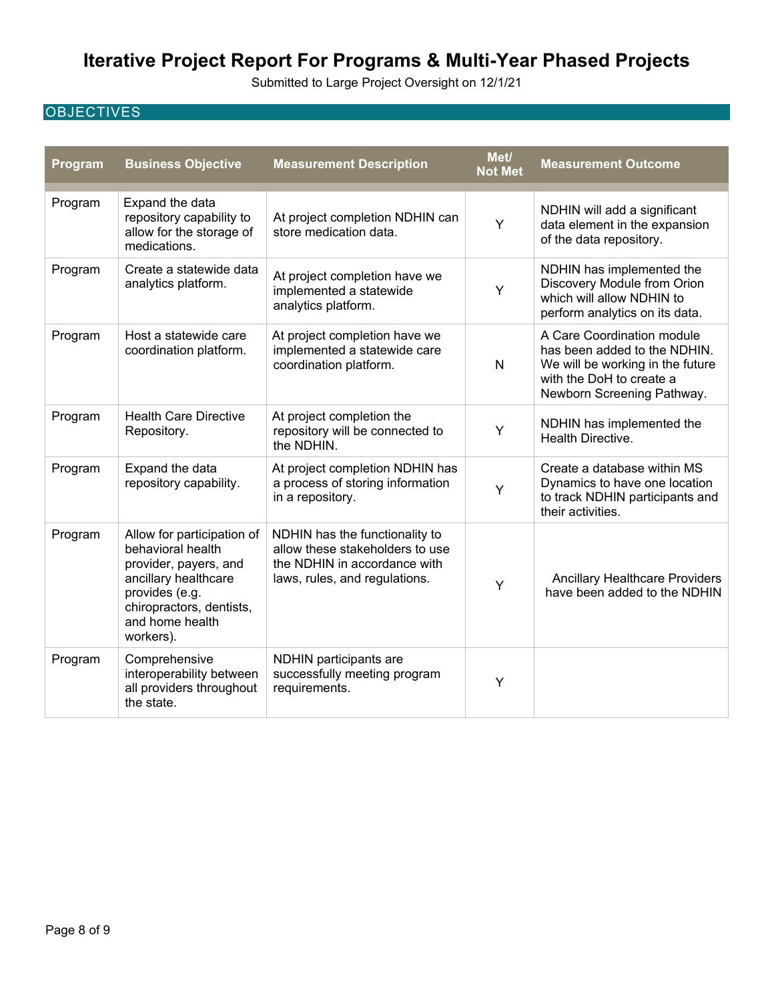Submitted to Large Project Oversight on 12/1/21

# **OBJECTIVES**

| Program | <b>Business Objective</b>                                                                                                                                                      | <b>Measurement Description</b>                                                                                                     | Met/<br><b>Not Met</b> | <b>Measurement Outcome</b>                                                                                                                               |
|---------|--------------------------------------------------------------------------------------------------------------------------------------------------------------------------------|------------------------------------------------------------------------------------------------------------------------------------|------------------------|----------------------------------------------------------------------------------------------------------------------------------------------------------|
| Program | Expand the data<br>repository capability to<br>allow for the storage of<br>medications.                                                                                        | At project completion NDHIN can<br>store medication data.                                                                          | Y                      | NDHIN will add a significant<br>data element in the expansion<br>of the data repository.                                                                 |
| Program | Create a statewide data<br>analytics platform.                                                                                                                                 | At project completion have we<br>implemented a statewide<br>analytics platform.                                                    | Υ                      | NDHIN has implemented the<br>Discovery Module from Orion<br>which will allow NDHIN to<br>perform analytics on its data.                                  |
| Program | Host a statewide care<br>coordination platform.                                                                                                                                | At project completion have we<br>implemented a statewide care<br>coordination platform.                                            | N                      | A Care Coordination module<br>has been added to the NDHIN.<br>We will be working in the future<br>with the DoH to create a<br>Newborn Screening Pathway. |
| Program | <b>Health Care Directive</b><br>Repository.                                                                                                                                    | At project completion the<br>repository will be connected to<br>the NDHIN.                                                         | Υ                      | NDHIN has implemented the<br>Health Directive.                                                                                                           |
| Program | Expand the data<br>repository capability.                                                                                                                                      | At project completion NDHIN has<br>a process of storing information<br>in a repository.                                            | Y                      | Create a database within MS<br>Dynamics to have one location<br>to track NDHIN participants and<br>their activities.                                     |
| Program | Allow for participation of<br>behavioral health<br>provider, payers, and<br>ancillary healthcare<br>provides (e.g.<br>chiropractors, dentists,<br>and home health<br>workers). | NDHIN has the functionality to<br>allow these stakeholders to use<br>the NDHIN in accordance with<br>laws, rules, and regulations. | Υ                      | Ancillary Healthcare Providers<br>have been added to the NDHIN                                                                                           |
| Program | Comprehensive<br>interoperability between<br>all providers throughout<br>the state.                                                                                            | NDHIN participants are<br>successfully meeting program<br>requirements.                                                            | Y                      |                                                                                                                                                          |